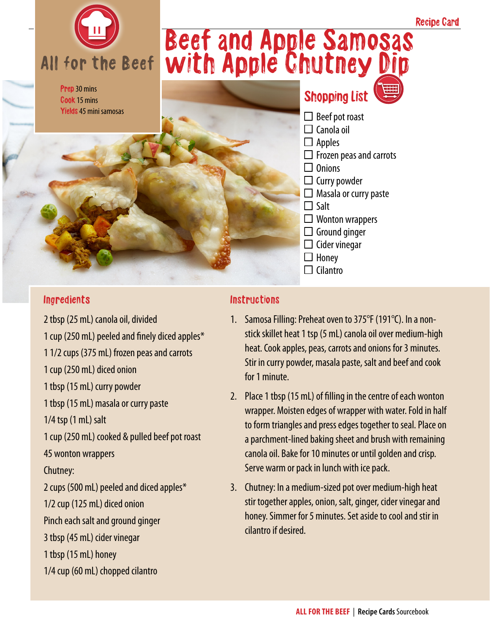

Prep 30 mins Cook 15 mins Yields 45 mini samosas

# Beef and Apple Samosas with Apple Chutney Dip

### Shopping List

Recipe Card

 $\Box$  Beef pot roast  $\Box$  Canola oil  $\Box$  Apples  $\Box$  Frozen peas and carrots  $\Box$  Onions  $\Box$  Curry powder  $\Box$  Masala or curry paste  $\square$  Salt  $\Box$  Wonton wrappers  $\Box$  Ground ginger  $\square$  Cider vinegar  $\Box$  Honey

#### Ingredients

2 tbsp (25 mL) canola oil, divided 1 cup (250 mL) peeled and finely diced apples\* 1 1/2 cups (375 mL) frozen peas and carrots 1 cup (250 mL) diced onion 1 tbsp (15 mL) curry powder 1 tbsp (15 mL) masala or curry paste 1/4 tsp (1 mL) salt 1 cup (250 mL) cooked & pulled beef pot roast 45 wonton wrappers Chutney: 2 cups (500 mL) peeled and diced apples\* 1/2 cup (125 mL) diced onion Pinch each salt and ground ginger 3 tbsp (45 mL) cider vinegar 1 tbsp (15 mL) honey 1/4 cup (60 mL) chopped cilantro

#### **Instructions**

1. Samosa Filling: Preheat oven to 375°F (191°C). In a nonstick skillet heat 1 tsp (5 mL) canola oil over medium-high heat. Cook apples, peas, carrots and onions for 3 minutes. Stir in curry powder, masala paste, salt and beef and cook for 1 minute.

 $\Box$  Cilantro

- 2. Place 1 tbsp (15 mL) of filling in the centre of each wonton wrapper. Moisten edges of wrapper with water. Fold in half to form triangles and press edges together to seal. Place on a parchment-lined baking sheet and brush with remaining canola oil. Bake for 10 minutes or until golden and crisp. Serve warm or pack in lunch with ice pack.
- 3. Chutney: In a medium-sized pot over medium-high heat stir together apples, onion, salt, ginger, cider vinegar and honey. Simmer for 5 minutes. Set aside to cool and stir in cilantro if desired.